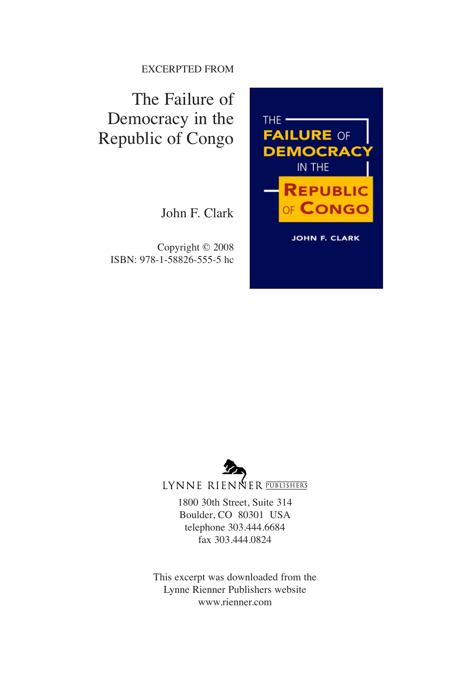### EXCERPTED FROM

The Failure of Democracy in the Republic of Congo

John F. Clark

Copyright © 2008 ISBN: 978-1-58826-555-5 hc





LYNNE RIENNER PUBLISHERS

1800 30th Street, Suite 314 Boulder, CO 80301 USA telephone 303.444.6684 fax 303.444.0824

This excerpt was downloaded from the Lynne Rienner Publishers website www.rienner.com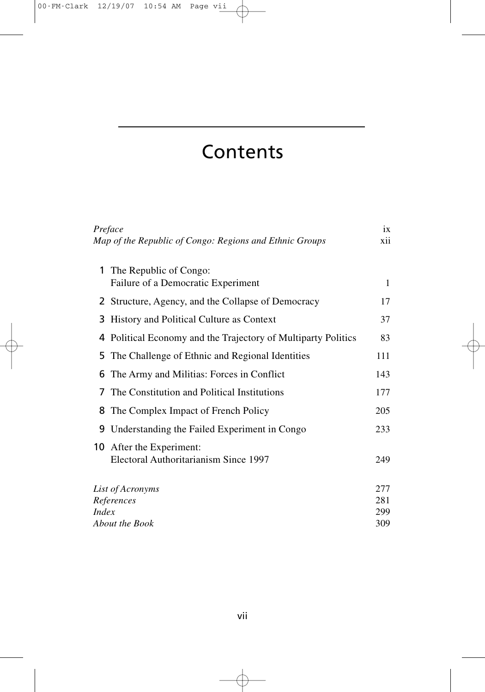# Contents

| Preface                                                 |                                                                | ix  |
|---------------------------------------------------------|----------------------------------------------------------------|-----|
| Map of the Republic of Congo: Regions and Ethnic Groups |                                                                | xii |
|                                                         |                                                                |     |
|                                                         | 1 The Republic of Congo:<br>Failure of a Democratic Experiment | 1   |
|                                                         | 2 Structure, Agency, and the Collapse of Democracy             | 17  |
|                                                         | 3 History and Political Culture as Context                     | 37  |
|                                                         | 4 Political Economy and the Trajectory of Multiparty Politics  | 83  |
|                                                         | 5 The Challenge of Ethnic and Regional Identities              | 111 |
| 6                                                       | The Army and Militias: Forces in Conflict                      | 143 |
| 7                                                       | The Constitution and Political Institutions                    | 177 |
| 8                                                       | The Complex Impact of French Policy                            | 205 |
| 9                                                       | Understanding the Failed Experiment in Congo                   | 233 |
|                                                         | 10 After the Experiment:                                       |     |
|                                                         | Electoral Authoritarianism Since 1997                          | 249 |
| List of Acronyms                                        |                                                                | 277 |
| References                                              |                                                                | 281 |
|                                                         | <i>Index</i>                                                   |     |
|                                                         | About the Book                                                 |     |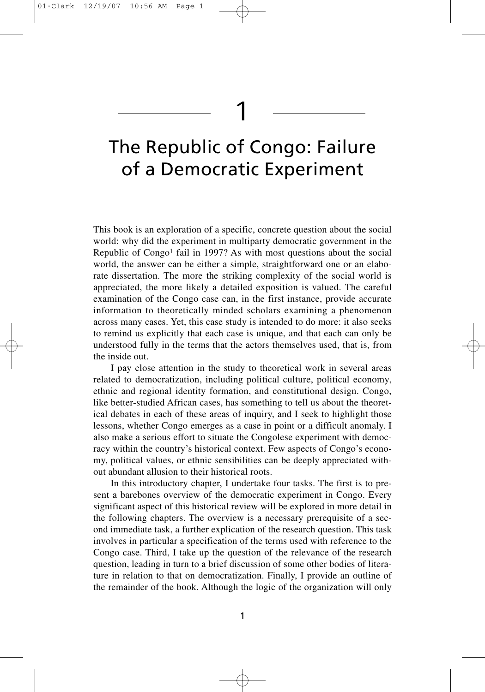1

## The Republic of Congo: Failure of a Democratic Experiment

This book is an exploration of a specific, concrete question about the social world: why did the experiment in multiparty democratic government in the Republic of Congo<sup>1</sup> fail in 1997? As with most questions about the social world, the answer can be either a simple, straightforward one or an elaborate dissertation. The more the striking complexity of the social world is appreciated, the more likely a detailed exposition is valued. The careful examination of the Congo case can, in the first instance, provide accurate information to theoretically minded scholars examining a phenomenon across many cases. Yet, this case study is intended to do more: it also seeks to remind us explicitly that each case is unique, and that each can only be understood fully in the terms that the actors themselves used, that is, from the inside out.

I pay close attention in the study to theoretical work in several areas related to democratization, including political culture, political economy, ethnic and regional identity formation, and constitutional design. Congo, like better-studied African cases, has something to tell us about the theoretical debates in each of these areas of inquiry, and I seek to highlight those lessons, whether Congo emerges as a case in point or a difficult anomaly. I also make a serious effort to situate the Congolese experiment with democracy within the country's historical context. Few aspects of Congo's economy, political values, or ethnic sensibilities can be deeply appreciated without abundant allusion to their historical roots.

In this introductory chapter, I undertake four tasks. The first is to present a barebones overview of the democratic experiment in Congo. Every significant aspect of this historical review will be explored in more detail in the following chapters. The overview is a necessary prerequisite of a second immediate task, a further explication of the research question. This task involves in particular a specification of the terms used with reference to the Congo case. Third, I take up the question of the relevance of the research question, leading in turn to a brief discussion of some other bodies of literature in relation to that on democratization. Finally, I provide an outline of the remainder of the book. Although the logic of the organization will only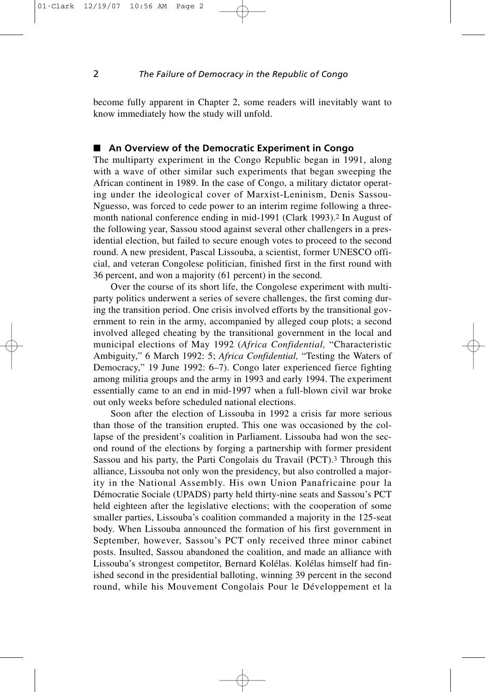become fully apparent in Chapter 2, some readers will inevitably want to know immediately how the study will unfold.

### ■ **An Overview of the Democratic Experiment in Congo**

The multiparty experiment in the Congo Republic began in 1991, along with a wave of other similar such experiments that began sweeping the African continent in 1989. In the case of Congo, a military dictator operating under the ideological cover of Marxist-Leninism, Denis Sassou-Nguesso, was forced to cede power to an interim regime following a threemonth national conference ending in mid-1991 (Clark 1993).2 In August of the following year, Sassou stood against several other challengers in a presidential election, but failed to secure enough votes to proceed to the second round. A new president, Pascal Lissouba, a scientist, former UNESCO official, and veteran Congolese politician, finished first in the first round with 36 percent, and won a majority (61 percent) in the second.

Over the course of its short life, the Congolese experiment with multiparty politics underwent a series of severe challenges, the first coming during the transition period. One crisis involved efforts by the transitional government to rein in the army, accompanied by alleged coup plots; a second involved alleged cheating by the transitional government in the local and municipal elections of May 1992 (*Africa Confidential,* "Characteristic Ambiguity," 6 March 1992: 5; *Africa Confidential,* "Testing the Waters of Democracy," 19 June 1992: 6–7). Congo later experienced fierce fighting among militia groups and the army in 1993 and early 1994. The experiment essentially came to an end in mid-1997 when a full-blown civil war broke out only weeks before scheduled national elections.

Soon after the election of Lissouba in 1992 a crisis far more serious than those of the transition erupted. This one was occasioned by the collapse of the president's coalition in Parliament. Lissouba had won the second round of the elections by forging a partnership with former president Sassou and his party, the Parti Congolais du Travail (PCT).<sup>3</sup> Through this alliance, Lissouba not only won the presidency, but also controlled a majority in the National Assembly. His own Union Panafricaine pour la Démocratie Sociale (UPADS) party held thirty-nine seats and Sassou's PCT held eighteen after the legislative elections; with the cooperation of some smaller parties, Lissouba's coalition commanded a majority in the 125-seat body. When Lissouba announced the formation of his first government in September, however, Sassou's PCT only received three minor cabinet posts. Insulted, Sassou abandoned the coalition, and made an alliance with Lissouba's strongest competitor, Bernard Kolélas. Kolélas himself had finished second in the presidential balloting, winning 39 percent in the second round, while his Mouvement Congolais Pour le Développement et la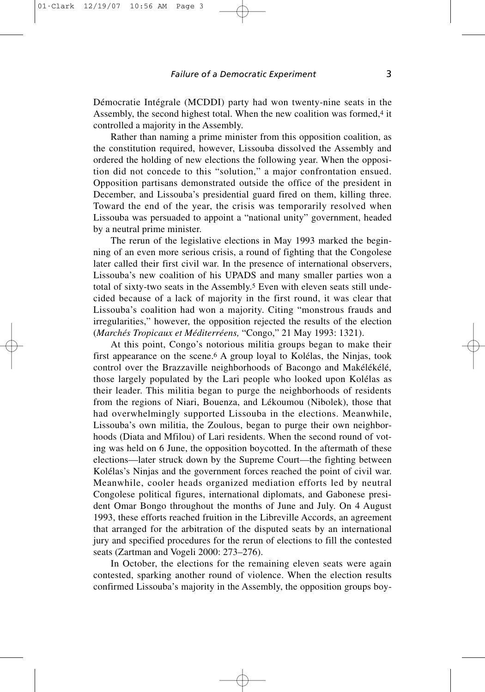Démocratie Intégrale (MCDDI) party had won twenty-nine seats in the Assembly, the second highest total. When the new coalition was formed,<sup>4</sup> it controlled a majority in the Assembly.

Rather than naming a prime minister from this opposition coalition, as the constitution required, however, Lissouba dissolved the Assembly and ordered the holding of new elections the following year. When the opposition did not concede to this "solution," a major confrontation ensued. Opposition partisans demonstrated outside the office of the president in December, and Lissouba's presidential guard fired on them, killing three. Toward the end of the year, the crisis was temporarily resolved when Lissouba was persuaded to appoint a "national unity" government, headed by a neutral prime minister.

The rerun of the legislative elections in May 1993 marked the beginning of an even more serious crisis, a round of fighting that the Congolese later called their first civil war. In the presence of international observers, Lissouba's new coalition of his UPADS and many smaller parties won a total of sixty-two seats in the Assembly.<sup>5</sup> Even with eleven seats still undecided because of a lack of majority in the first round, it was clear that Lissouba's coalition had won a majority. Citing "monstrous frauds and irregularities," however, the opposition rejected the results of the election (*Marchés Tropicaux et Méditerréens,* "Congo," 21 May 1993: 1321).

At this point, Congo's notorious militia groups began to make their first appearance on the scene.6 A group loyal to Kolélas, the Ninjas, took control over the Brazzaville neighborhoods of Bacongo and Makélékélé, those largely populated by the Lari people who looked upon Kolélas as their leader. This militia began to purge the neighborhoods of residents from the regions of Niari, Bouenza, and Lékoumou (Nibolek), those that had overwhelmingly supported Lissouba in the elections. Meanwhile, Lissouba's own militia, the Zoulous, began to purge their own neighborhoods (Diata and Mfilou) of Lari residents. When the second round of voting was held on 6 June, the opposition boycotted. In the aftermath of these elections—later struck down by the Supreme Court—the fighting between Kolélas's Ninjas and the government forces reached the point of civil war. Meanwhile, cooler heads organized mediation efforts led by neutral Congolese political figures, international diplomats, and Gabonese president Omar Bongo throughout the months of June and July. On 4 August 1993, these efforts reached fruition in the Libreville Accords, an agreement that arranged for the arbitration of the disputed seats by an international jury and specified procedures for the rerun of elections to fill the contested seats (Zartman and Vogeli 2000: 273–276).

In October, the elections for the remaining eleven seats were again contested, sparking another round of violence. When the election results confirmed Lissouba's majority in the Assembly, the opposition groups boy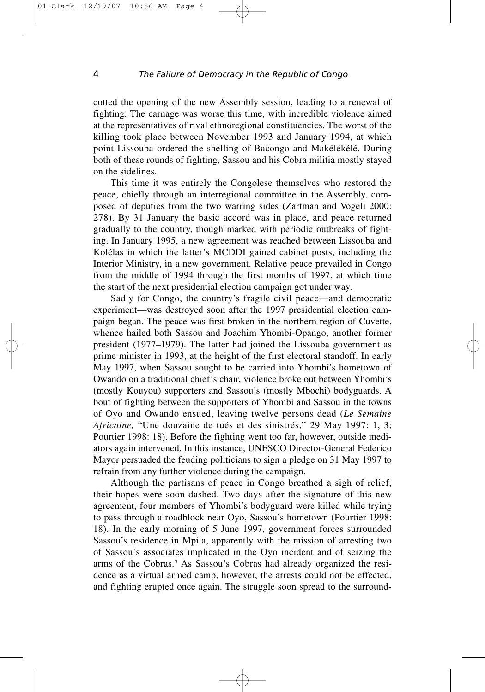cotted the opening of the new Assembly session, leading to a renewal of fighting. The carnage was worse this time, with incredible violence aimed at the representatives of rival ethnoregional constituencies. The worst of the killing took place between November 1993 and January 1994, at which point Lissouba ordered the shelling of Bacongo and Makélékélé. During both of these rounds of fighting, Sassou and his Cobra militia mostly stayed on the sidelines.

This time it was entirely the Congolese themselves who restored the peace, chiefly through an interregional committee in the Assembly, composed of deputies from the two warring sides (Zartman and Vogeli 2000: 278). By 31 January the basic accord was in place, and peace returned gradually to the country, though marked with periodic outbreaks of fighting. In January 1995, a new agreement was reached between Lissouba and Kolélas in which the latter's MCDDI gained cabinet posts, including the Interior Ministry, in a new government. Relative peace prevailed in Congo from the middle of 1994 through the first months of 1997, at which time the start of the next presidential election campaign got under way.

Sadly for Congo, the country's fragile civil peace—and democratic experiment—was destroyed soon after the 1997 presidential election campaign began. The peace was first broken in the northern region of Cuvette, whence hailed both Sassou and Joachim Yhombi-Opango, another former president (1977–1979). The latter had joined the Lissouba government as prime minister in 1993, at the height of the first electoral standoff. In early May 1997, when Sassou sought to be carried into Yhombi's hometown of Owando on a traditional chief's chair, violence broke out between Yhombi's (mostly Kouyou) supporters and Sassou's (mostly Mbochi) bodyguards. A bout of fighting between the supporters of Yhombi and Sassou in the towns of Oyo and Owando ensued, leaving twelve persons dead (*Le Semaine Africaine,* "Une douzaine de tués et des sinistrés," 29 May 1997: 1, 3; Pourtier 1998: 18). Before the fighting went too far, however, outside mediators again intervened. In this instance, UNESCO Director-General Federico Mayor persuaded the feuding politicians to sign a pledge on 31 May 1997 to refrain from any further violence during the campaign.

Although the partisans of peace in Congo breathed a sigh of relief, their hopes were soon dashed. Two days after the signature of this new agreement, four members of Yhombi's bodyguard were killed while trying to pass through a roadblock near Oyo, Sassou's hometown (Pourtier 1998: 18). In the early morning of 5 June 1997, government forces surrounded Sassou's residence in Mpila, apparently with the mission of arresting two of Sassou's associates implicated in the Oyo incident and of seizing the arms of the Cobras.7 As Sassou's Cobras had already organized the residence as a virtual armed camp, however, the arrests could not be effected, and fighting erupted once again. The struggle soon spread to the surround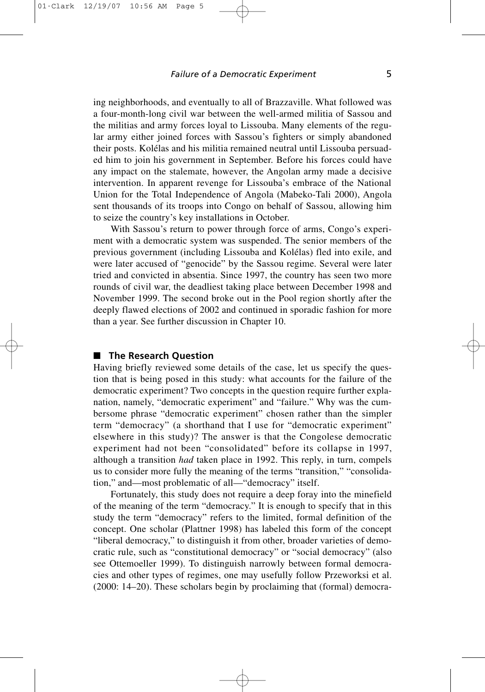ing neighborhoods, and eventually to all of Brazzaville. What followed was a four-month-long civil war between the well-armed militia of Sassou and the militias and army forces loyal to Lissouba. Many elements of the regular army either joined forces with Sassou's fighters or simply abandoned their posts. Kolélas and his militia remained neutral until Lissouba persuaded him to join his government in September. Before his forces could have any impact on the stalemate, however, the Angolan army made a decisive intervention. In apparent revenge for Lissouba's embrace of the National Union for the Total Independence of Angola (Mabeko-Tali 2000), Angola sent thousands of its troops into Congo on behalf of Sassou, allowing him to seize the country's key installations in October.

With Sassou's return to power through force of arms, Congo's experiment with a democratic system was suspended. The senior members of the previous government (including Lissouba and Kolélas) fled into exile, and were later accused of "genocide" by the Sassou regime. Several were later tried and convicted in absentia. Since 1997, the country has seen two more rounds of civil war, the deadliest taking place between December 1998 and November 1999. The second broke out in the Pool region shortly after the deeply flawed elections of 2002 and continued in sporadic fashion for more than a year. See further discussion in Chapter 10.

#### **■ The Research Question**

Having briefly reviewed some details of the case, let us specify the question that is being posed in this study: what accounts for the failure of the democratic experiment? Two concepts in the question require further explanation, namely, "democratic experiment" and "failure." Why was the cumbersome phrase "democratic experiment" chosen rather than the simpler term "democracy" (a shorthand that I use for "democratic experiment" elsewhere in this study)? The answer is that the Congolese democratic experiment had not been "consolidated" before its collapse in 1997, although a transition *had* taken place in 1992. This reply, in turn, compels us to consider more fully the meaning of the terms "transition," "consolidation," and—most problematic of all—"democracy" itself.

Fortunately, this study does not require a deep foray into the minefield of the meaning of the term "democracy." It is enough to specify that in this study the term "democracy" refers to the limited, formal definition of the concept. One scholar (Plattner 1998) has labeled this form of the concept "liberal democracy," to distinguish it from other, broader varieties of democratic rule, such as "constitutional democracy" or "social democracy" (also see Ottemoeller 1999). To distinguish narrowly between formal democracies and other types of regimes, one may usefully follow Przeworksi et al. (2000: 14–20). These scholars begin by proclaiming that (formal) democra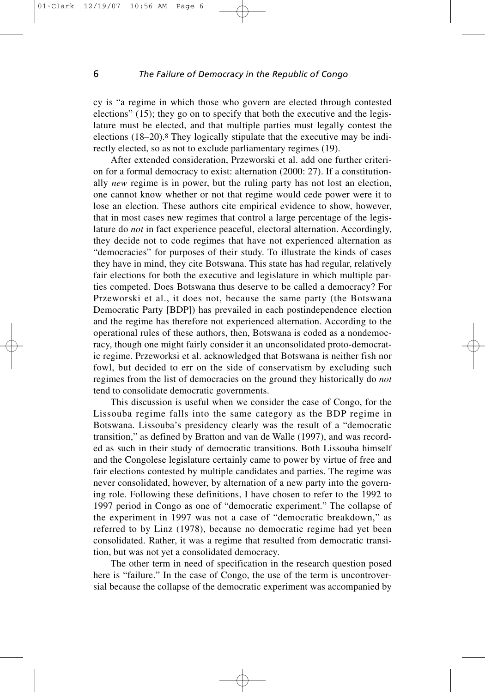cy is "a regime in which those who govern are elected through contested elections" (15); they go on to specify that both the executive and the legislature must be elected, and that multiple parties must legally contest the elections (18–20).8 They logically stipulate that the executive may be indirectly elected, so as not to exclude parliamentary regimes (19).

After extended consideration, Przeworski et al. add one further criterion for a formal democracy to exist: alternation (2000: 27). If a constitutionally *new* regime is in power, but the ruling party has not lost an election, one cannot know whether or not that regime would cede power were it to lose an election. These authors cite empirical evidence to show, however, that in most cases new regimes that control a large percentage of the legislature do *not* in fact experience peaceful, electoral alternation. Accordingly, they decide not to code regimes that have not experienced alternation as "democracies" for purposes of their study. To illustrate the kinds of cases they have in mind, they cite Botswana. This state has had regular, relatively fair elections for both the executive and legislature in which multiple parties competed. Does Botswana thus deserve to be called a democracy? For Przeworski et al., it does not, because the same party (the Botswana Democratic Party [BDP]) has prevailed in each postindependence election and the regime has therefore not experienced alternation. According to the operational rules of these authors, then, Botswana is coded as a nondemocracy, though one might fairly consider it an unconsolidated proto-democratic regime. Przeworksi et al. acknowledged that Botswana is neither fish nor fowl, but decided to err on the side of conservatism by excluding such regimes from the list of democracies on the ground they historically do *not* tend to consolidate democratic governments.

This discussion is useful when we consider the case of Congo, for the Lissouba regime falls into the same category as the BDP regime in Botswana. Lissouba's presidency clearly was the result of a "democratic transition," as defined by Bratton and van de Walle (1997), and was recorded as such in their study of democratic transitions. Both Lissouba himself and the Congolese legislature certainly came to power by virtue of free and fair elections contested by multiple candidates and parties. The regime was never consolidated, however, by alternation of a new party into the governing role. Following these definitions, I have chosen to refer to the 1992 to 1997 period in Congo as one of "democratic experiment." The collapse of the experiment in 1997 was not a case of "democratic breakdown," as referred to by Linz (1978), because no democratic regime had yet been consolidated. Rather, it was a regime that resulted from democratic transition, but was not yet a consolidated democracy.

The other term in need of specification in the research question posed here is "failure." In the case of Congo, the use of the term is uncontroversial because the collapse of the democratic experiment was accompanied by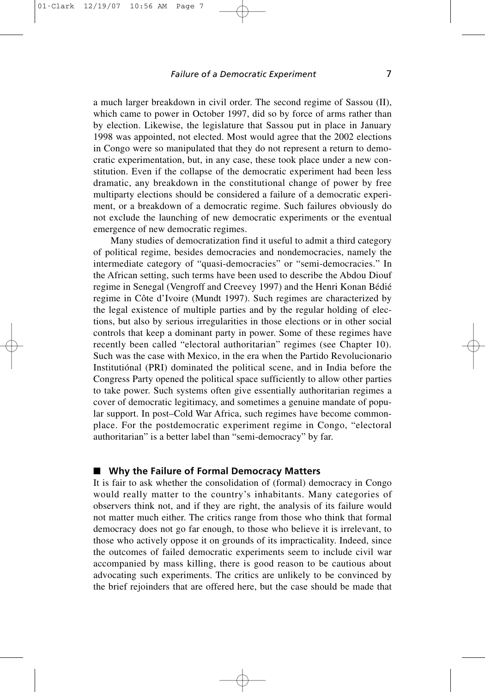a much larger breakdown in civil order. The second regime of Sassou (II), which came to power in October 1997, did so by force of arms rather than by election. Likewise, the legislature that Sassou put in place in January 1998 was appointed, not elected. Most would agree that the 2002 elections in Congo were so manipulated that they do not represent a return to democratic experimentation, but, in any case, these took place under a new constitution. Even if the collapse of the democratic experiment had been less dramatic, any breakdown in the constitutional change of power by free multiparty elections should be considered a failure of a democratic experiment, or a breakdown of a democratic regime. Such failures obviously do not exclude the launching of new democratic experiments or the eventual emergence of new democratic regimes.

Many studies of democratization find it useful to admit a third category of political regime, besides democracies and nondemocracies, namely the intermediate category of "quasi-democracies" or "semi-democracies." In the African setting, such terms have been used to describe the Abdou Diouf regime in Senegal (Vengroff and Creevey 1997) and the Henri Konan Bédié regime in Côte d'Ivoire (Mundt 1997). Such regimes are characterized by the legal existence of multiple parties and by the regular holding of elections, but also by serious irregularities in those elections or in other social controls that keep a dominant party in power. Some of these regimes have recently been called "electoral authoritarian" regimes (see Chapter 10). Such was the case with Mexico, in the era when the Partido Revolucionario Institutiónal (PRI) dominated the political scene, and in India before the Congress Party opened the political space sufficiently to allow other parties to take power. Such systems often give essentially authoritarian regimes a cover of democratic legitimacy, and sometimes a genuine mandate of popular support. In post–Cold War Africa, such regimes have become commonplace. For the postdemocratic experiment regime in Congo, "electoral authoritarian" is a better label than "semi-democracy" by far.

#### ■ Why the Failure of Formal Democracy Matters

It is fair to ask whether the consolidation of (formal) democracy in Congo would really matter to the country's inhabitants. Many categories of observers think not, and if they are right, the analysis of its failure would not matter much either. The critics range from those who think that formal democracy does not go far enough, to those who believe it is irrelevant, to those who actively oppose it on grounds of its impracticality. Indeed, since the outcomes of failed democratic experiments seem to include civil war accompanied by mass killing, there is good reason to be cautious about advocating such experiments. The critics are unlikely to be convinced by the brief rejoinders that are offered here, but the case should be made that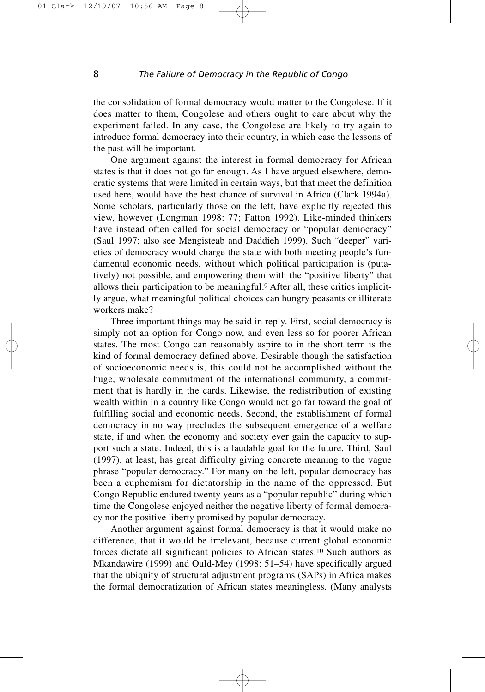the consolidation of formal democracy would matter to the Congolese. If it does matter to them, Congolese and others ought to care about why the experiment failed. In any case, the Congolese are likely to try again to introduce formal democracy into their country, in which case the lessons of the past will be important.

One argument against the interest in formal democracy for African states is that it does not go far enough. As I have argued elsewhere, democratic systems that were limited in certain ways, but that meet the definition used here, would have the best chance of survival in Africa (Clark 1994a). Some scholars, particularly those on the left, have explicitly rejected this view, however (Longman 1998: 77; Fatton 1992). Like-minded thinkers have instead often called for social democracy or "popular democracy" (Saul 1997; also see Mengisteab and Daddieh 1999). Such "deeper" varieties of democracy would charge the state with both meeting people's fundamental economic needs, without which political participation is (putatively) not possible, and empowering them with the "positive liberty" that allows their participation to be meaningful.9 After all, these critics implicitly argue, what meaningful political choices can hungry peasants or illiterate workers make?

Three important things may be said in reply. First, social democracy is simply not an option for Congo now, and even less so for poorer African states. The most Congo can reasonably aspire to in the short term is the kind of formal democracy defined above. Desirable though the satisfaction of socioeconomic needs is, this could not be accomplished without the huge, wholesale commitment of the international community, a commitment that is hardly in the cards. Likewise, the redistribution of existing wealth within in a country like Congo would not go far toward the goal of fulfilling social and economic needs. Second, the establishment of formal democracy in no way precludes the subsequent emergence of a welfare state, if and when the economy and society ever gain the capacity to support such a state. Indeed, this is a laudable goal for the future. Third, Saul (1997), at least, has great difficulty giving concrete meaning to the vague phrase "popular democracy." For many on the left, popular democracy has been a euphemism for dictatorship in the name of the oppressed. But Congo Republic endured twenty years as a "popular republic" during which time the Congolese enjoyed neither the negative liberty of formal democracy nor the positive liberty promised by popular democracy.

Another argument against formal democracy is that it would make no difference, that it would be irrelevant, because current global economic forces dictate all significant policies to African states.10 Such authors as Mkandawire (1999) and Ould-Mey (1998: 51–54) have specifically argued that the ubiquity of structural adjustment programs (SAPs) in Africa makes the formal democratization of African states meaningless. (Many analysts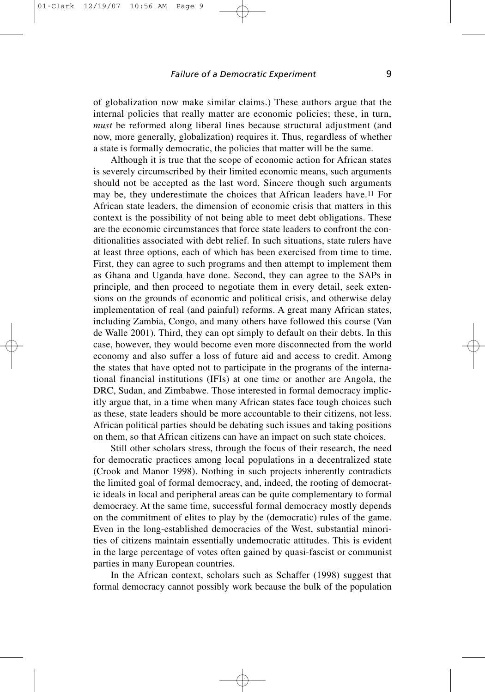of globalization now make similar claims.) These authors argue that the internal policies that really matter are economic policies; these, in turn, *must* be reformed along liberal lines because structural adjustment (and now, more generally, globalization) requires it. Thus, regardless of whether a state is formally democratic, the policies that matter will be the same.

Although it is true that the scope of economic action for African states is severely circumscribed by their limited economic means, such arguments should not be accepted as the last word. Sincere though such arguments may be, they underestimate the choices that African leaders have.11 For African state leaders, the dimension of economic crisis that matters in this context is the possibility of not being able to meet debt obligations. These are the economic circumstances that force state leaders to confront the conditionalities associated with debt relief. In such situations, state rulers have at least three options, each of which has been exercised from time to time. First, they can agree to such programs and then attempt to implement them as Ghana and Uganda have done. Second, they can agree to the SAPs in principle, and then proceed to negotiate them in every detail, seek extensions on the grounds of economic and political crisis, and otherwise delay implementation of real (and painful) reforms. A great many African states, including Zambia, Congo, and many others have followed this course (Van de Walle 2001). Third, they can opt simply to default on their debts. In this case, however, they would become even more disconnected from the world economy and also suffer a loss of future aid and access to credit. Among the states that have opted not to participate in the programs of the international financial institutions (IFIs) at one time or another are Angola, the DRC, Sudan, and Zimbabwe. Those interested in formal democracy implicitly argue that, in a time when many African states face tough choices such as these, state leaders should be more accountable to their citizens, not less. African political parties should be debating such issues and taking positions on them, so that African citizens can have an impact on such state choices.

Still other scholars stress, through the focus of their research, the need for democratic practices among local populations in a decentralized state (Crook and Manor 1998). Nothing in such projects inherently contradicts the limited goal of formal democracy, and, indeed, the rooting of democratic ideals in local and peripheral areas can be quite complementary to formal democracy. At the same time, successful formal democracy mostly depends on the commitment of elites to play by the (democratic) rules of the game. Even in the long-established democracies of the West, substantial minorities of citizens maintain essentially undemocratic attitudes. This is evident in the large percentage of votes often gained by quasi-fascist or communist parties in many European countries.

In the African context, scholars such as Schaffer (1998) suggest that formal democracy cannot possibly work because the bulk of the population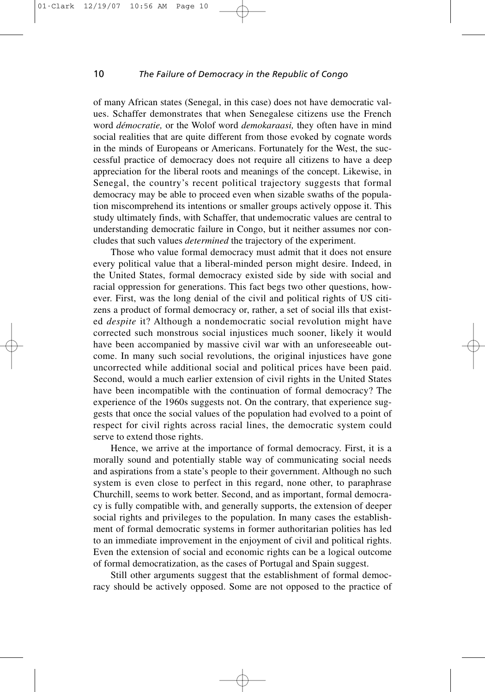of many African states (Senegal, in this case) does not have democratic values. Schaffer demonstrates that when Senegalese citizens use the French word *démocratie,* or the Wolof word *demokaraasi,* they often have in mind social realities that are quite different from those evoked by cognate words in the minds of Europeans or Americans. Fortunately for the West, the successful practice of democracy does not require all citizens to have a deep appreciation for the liberal roots and meanings of the concept. Likewise, in Senegal, the country's recent political trajectory suggests that formal democracy may be able to proceed even when sizable swaths of the population miscomprehend its intentions or smaller groups actively oppose it. This study ultimately finds, with Schaffer, that undemocratic values are central to understanding democratic failure in Congo, but it neither assumes nor concludes that such values *determined* the trajectory of the experiment.

Those who value formal democracy must admit that it does not ensure every political value that a liberal-minded person might desire. Indeed, in the United States, formal democracy existed side by side with social and racial oppression for generations. This fact begs two other questions, however. First, was the long denial of the civil and political rights of US citizens a product of formal democracy or, rather, a set of social ills that existed *despite* it? Although a nondemocratic social revolution might have corrected such monstrous social injustices much sooner, likely it would have been accompanied by massive civil war with an unforeseeable outcome. In many such social revolutions, the original injustices have gone uncorrected while additional social and political prices have been paid. Second, would a much earlier extension of civil rights in the United States have been incompatible with the continuation of formal democracy? The experience of the 1960s suggests not. On the contrary, that experience suggests that once the social values of the population had evolved to a point of respect for civil rights across racial lines, the democratic system could serve to extend those rights.

Hence, we arrive at the importance of formal democracy. First, it is a morally sound and potentially stable way of communicating social needs and aspirations from a state's people to their government. Although no such system is even close to perfect in this regard, none other, to paraphrase Churchill, seems to work better. Second, and as important, formal democracy is fully compatible with, and generally supports, the extension of deeper social rights and privileges to the population. In many cases the establishment of formal democratic systems in former authoritarian polities has led to an immediate improvement in the enjoyment of civil and political rights. Even the extension of social and economic rights can be a logical outcome of formal democratization, as the cases of Portugal and Spain suggest.

Still other arguments suggest that the establishment of formal democracy should be actively opposed. Some are not opposed to the practice of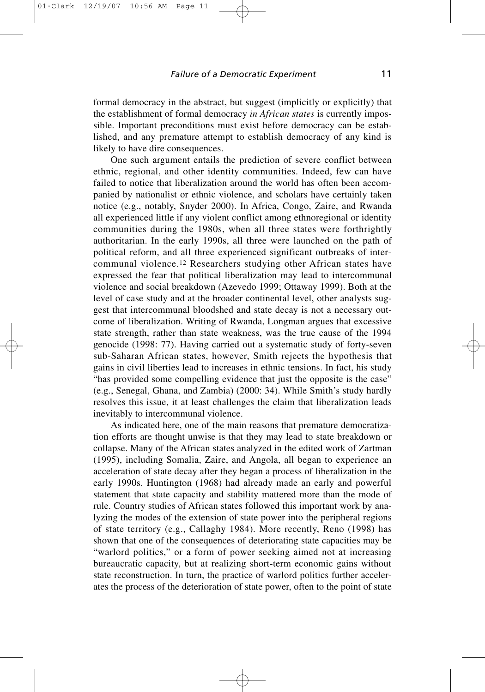formal democracy in the abstract, but suggest (implicitly or explicitly) that the establishment of formal democracy *in African states* is currently impossible. Important preconditions must exist before democracy can be established, and any premature attempt to establish democracy of any kind is likely to have dire consequences.

One such argument entails the prediction of severe conflict between ethnic, regional, and other identity communities. Indeed, few can have failed to notice that liberalization around the world has often been accompanied by nationalist or ethnic violence, and scholars have certainly taken notice (e.g., notably, Snyder 2000). In Africa, Congo, Zaire, and Rwanda all experienced little if any violent conflict among ethnoregional or identity communities during the 1980s, when all three states were forthrightly authoritarian. In the early 1990s, all three were launched on the path of political reform, and all three experienced significant outbreaks of intercommunal violence.12 Researchers studying other African states have expressed the fear that political liberalization may lead to intercommunal violence and social breakdown (Azevedo 1999; Ottaway 1999). Both at the level of case study and at the broader continental level, other analysts suggest that intercommunal bloodshed and state decay is not a necessary outcome of liberalization. Writing of Rwanda, Longman argues that excessive state strength, rather than state weakness, was the true cause of the 1994 genocide (1998: 77). Having carried out a systematic study of forty-seven sub-Saharan African states, however, Smith rejects the hypothesis that gains in civil liberties lead to increases in ethnic tensions. In fact, his study "has provided some compelling evidence that just the opposite is the case" (e.g., Senegal, Ghana, and Zambia) (2000: 34). While Smith's study hardly resolves this issue, it at least challenges the claim that liberalization leads inevitably to intercommunal violence.

As indicated here, one of the main reasons that premature democratization efforts are thought unwise is that they may lead to state breakdown or collapse. Many of the African states analyzed in the edited work of Zartman (1995), including Somalia, Zaire, and Angola, all began to experience an acceleration of state decay after they began a process of liberalization in the early 1990s. Huntington (1968) had already made an early and powerful statement that state capacity and stability mattered more than the mode of rule. Country studies of African states followed this important work by analyzing the modes of the extension of state power into the peripheral regions of state territory (e.g., Callaghy 1984). More recently, Reno (1998) has shown that one of the consequences of deteriorating state capacities may be "warlord politics," or a form of power seeking aimed not at increasing bureaucratic capacity, but at realizing short-term economic gains without state reconstruction. In turn, the practice of warlord politics further accelerates the process of the deterioration of state power, often to the point of state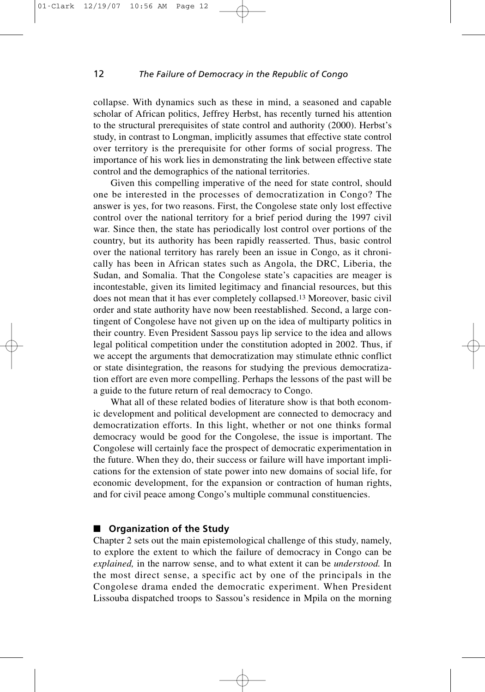collapse. With dynamics such as these in mind, a seasoned and capable scholar of African politics, Jeffrey Herbst, has recently turned his attention to the structural prerequisites of state control and authority (2000). Herbst's study, in contrast to Longman, implicitly assumes that effective state control over territory is the prerequisite for other forms of social progress. The importance of his work lies in demonstrating the link between effective state control and the demographics of the national territories.

Given this compelling imperative of the need for state control, should one be interested in the processes of democratization in Congo? The answer is yes, for two reasons. First, the Congolese state only lost effective control over the national territory for a brief period during the 1997 civil war. Since then, the state has periodically lost control over portions of the country, but its authority has been rapidly reasserted. Thus, basic control over the national territory has rarely been an issue in Congo, as it chronically has been in African states such as Angola, the DRC, Liberia, the Sudan, and Somalia. That the Congolese state's capacities are meager is incontestable, given its limited legitimacy and financial resources, but this does not mean that it has ever completely collapsed.13 Moreover, basic civil order and state authority have now been reestablished. Second, a large contingent of Congolese have not given up on the idea of multiparty politics in their country. Even President Sassou pays lip service to the idea and allows legal political competition under the constitution adopted in 2002. Thus, if we accept the arguments that democratization may stimulate ethnic conflict or state disintegration, the reasons for studying the previous democratization effort are even more compelling. Perhaps the lessons of the past will be a guide to the future return of real democracy to Congo.

What all of these related bodies of literature show is that both economic development and political development are connected to democracy and democratization efforts. In this light, whether or not one thinks formal democracy would be good for the Congolese, the issue is important. The Congolese will certainly face the prospect of democratic experimentation in the future. When they do, their success or failure will have important implications for the extension of state power into new domains of social life, for economic development, for the expansion or contraction of human rights, and for civil peace among Congo's multiple communal constituencies.

#### ■ **Organization of the Study**

Chapter 2 sets out the main epistemological challenge of this study, namely, to explore the extent to which the failure of democracy in Congo can be *explained,* in the narrow sense, and to what extent it can be *understood.* In the most direct sense, a specific act by one of the principals in the Congolese drama ended the democratic experiment. When President Lissouba dispatched troops to Sassou's residence in Mpila on the morning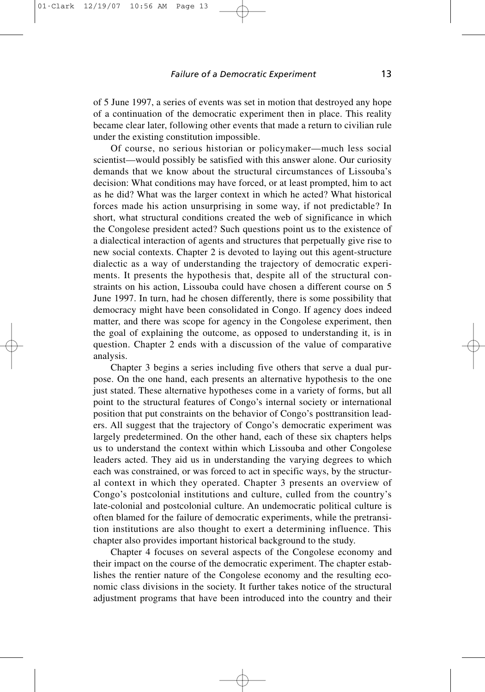of 5 June 1997, a series of events was set in motion that destroyed any hope of a continuation of the democratic experiment then in place. This reality became clear later, following other events that made a return to civilian rule under the existing constitution impossible.

Of course, no serious historian or policymaker—much less social scientist—would possibly be satisfied with this answer alone. Our curiosity demands that we know about the structural circumstances of Lissouba's decision: What conditions may have forced, or at least prompted, him to act as he did? What was the larger context in which he acted? What historical forces made his action unsurprising in some way, if not predictable? In short, what structural conditions created the web of significance in which the Congolese president acted? Such questions point us to the existence of a dialectical interaction of agents and structures that perpetually give rise to new social contexts. Chapter 2 is devoted to laying out this agent-structure dialectic as a way of understanding the trajectory of democratic experiments. It presents the hypothesis that, despite all of the structural constraints on his action, Lissouba could have chosen a different course on 5 June 1997. In turn, had he chosen differently, there is some possibility that democracy might have been consolidated in Congo. If agency does indeed matter, and there was scope for agency in the Congolese experiment, then the goal of explaining the outcome, as opposed to understanding it, is in question. Chapter 2 ends with a discussion of the value of comparative analysis.

Chapter 3 begins a series including five others that serve a dual purpose. On the one hand, each presents an alternative hypothesis to the one just stated. These alternative hypotheses come in a variety of forms, but all point to the structural features of Congo's internal society or international position that put constraints on the behavior of Congo's posttransition leaders. All suggest that the trajectory of Congo's democratic experiment was largely predetermined. On the other hand, each of these six chapters helps us to understand the context within which Lissouba and other Congolese leaders acted. They aid us in understanding the varying degrees to which each was constrained, or was forced to act in specific ways, by the structural context in which they operated. Chapter 3 presents an overview of Congo's postcolonial institutions and culture, culled from the country's late-colonial and postcolonial culture. An undemocratic political culture is often blamed for the failure of democratic experiments, while the pretransition institutions are also thought to exert a determining influence. This chapter also provides important historical background to the study.

Chapter 4 focuses on several aspects of the Congolese economy and their impact on the course of the democratic experiment. The chapter establishes the rentier nature of the Congolese economy and the resulting economic class divisions in the society. It further takes notice of the structural adjustment programs that have been introduced into the country and their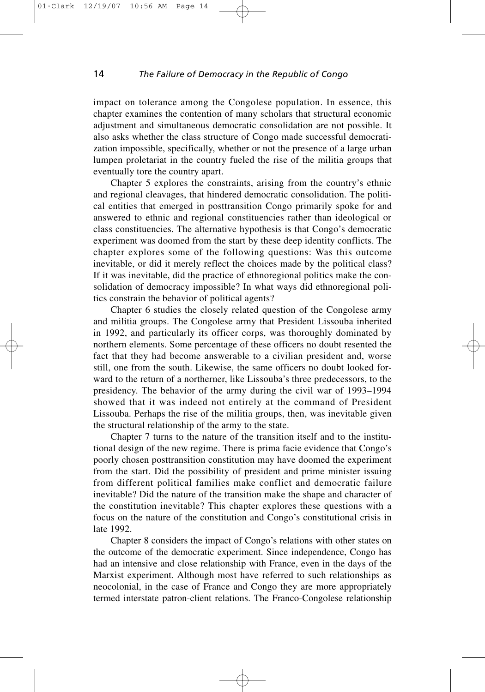impact on tolerance among the Congolese population. In essence, this chapter examines the contention of many scholars that structural economic adjustment and simultaneous democratic consolidation are not possible. It also asks whether the class structure of Congo made successful democratization impossible, specifically, whether or not the presence of a large urban lumpen proletariat in the country fueled the rise of the militia groups that eventually tore the country apart.

Chapter 5 explores the constraints, arising from the country's ethnic and regional cleavages, that hindered democratic consolidation. The political entities that emerged in posttransition Congo primarily spoke for and answered to ethnic and regional constituencies rather than ideological or class constituencies. The alternative hypothesis is that Congo's democratic experiment was doomed from the start by these deep identity conflicts. The chapter explores some of the following questions: Was this outcome inevitable, or did it merely reflect the choices made by the political class? If it was inevitable, did the practice of ethnoregional politics make the consolidation of democracy impossible? In what ways did ethnoregional politics constrain the behavior of political agents?

Chapter 6 studies the closely related question of the Congolese army and militia groups. The Congolese army that President Lissouba inherited in 1992, and particularly its officer corps, was thoroughly dominated by northern elements. Some percentage of these officers no doubt resented the fact that they had become answerable to a civilian president and, worse still, one from the south. Likewise, the same officers no doubt looked forward to the return of a northerner, like Lissouba's three predecessors, to the presidency. The behavior of the army during the civil war of 1993–1994 showed that it was indeed not entirely at the command of President Lissouba. Perhaps the rise of the militia groups, then, was inevitable given the structural relationship of the army to the state.

Chapter 7 turns to the nature of the transition itself and to the institutional design of the new regime. There is prima facie evidence that Congo's poorly chosen posttransition constitution may have doomed the experiment from the start. Did the possibility of president and prime minister issuing from different political families make conflict and democratic failure inevitable? Did the nature of the transition make the shape and character of the constitution inevitable? This chapter explores these questions with a focus on the nature of the constitution and Congo's constitutional crisis in late 1992.

Chapter 8 considers the impact of Congo's relations with other states on the outcome of the democratic experiment. Since independence, Congo has had an intensive and close relationship with France, even in the days of the Marxist experiment. Although most have referred to such relationships as neocolonial, in the case of France and Congo they are more appropriately termed interstate patron-client relations. The Franco-Congolese relationship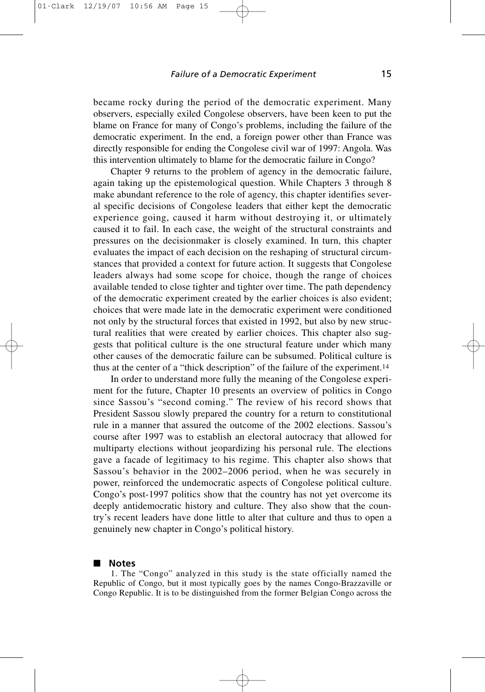became rocky during the period of the democratic experiment. Many observers, especially exiled Congolese observers, have been keen to put the blame on France for many of Congo's problems, including the failure of the democratic experiment. In the end, a foreign power other than France was directly responsible for ending the Congolese civil war of 1997: Angola. Was this intervention ultimately to blame for the democratic failure in Congo?

Chapter 9 returns to the problem of agency in the democratic failure, again taking up the epistemological question. While Chapters 3 through 8 make abundant reference to the role of agency, this chapter identifies several specific decisions of Congolese leaders that either kept the democratic experience going, caused it harm without destroying it, or ultimately caused it to fail. In each case, the weight of the structural constraints and pressures on the decisionmaker is closely examined. In turn, this chapter evaluates the impact of each decision on the reshaping of structural circumstances that provided a context for future action. It suggests that Congolese leaders always had some scope for choice, though the range of choices available tended to close tighter and tighter over time. The path dependency of the democratic experiment created by the earlier choices is also evident; choices that were made late in the democratic experiment were conditioned not only by the structural forces that existed in 1992, but also by new structural realities that were created by earlier choices. This chapter also suggests that political culture is the one structural feature under which many other causes of the democratic failure can be subsumed. Political culture is thus at the center of a "thick description" of the failure of the experiment.14

In order to understand more fully the meaning of the Congolese experiment for the future, Chapter 10 presents an overview of politics in Congo since Sassou's "second coming." The review of his record shows that President Sassou slowly prepared the country for a return to constitutional rule in a manner that assured the outcome of the 2002 elections. Sassou's course after 1997 was to establish an electoral autocracy that allowed for multiparty elections without jeopardizing his personal rule. The elections gave a facade of legitimacy to his regime. This chapter also shows that Sassou's behavior in the 2002–2006 period, when he was securely in power, reinforced the undemocratic aspects of Congolese political culture. Congo's post-1997 politics show that the country has not yet overcome its deeply antidemocratic history and culture. They also show that the country's recent leaders have done little to alter that culture and thus to open a genuinely new chapter in Congo's political history.

#### **■ Notes**

1. The "Congo" analyzed in this study is the state officially named the Republic of Congo, but it most typically goes by the names Congo-Brazzaville or Congo Republic. It is to be distinguished from the former Belgian Congo across the